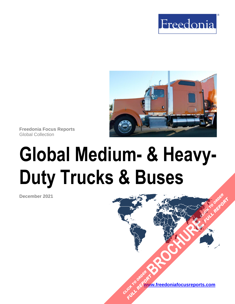



**Freedonia Focus Reports** Global Collection

# **Global Medium- & Heavy-Duty Trucks & Buses**

**December 2021**

**[www.freedoniafocusreports.com](https://www.freedoniafocusreports.com/redirect.asp?progid=89534&url=/)** CLICK TO ORDER **FULL REPORT** 

**[BROCHURE](https://www.freedoniafocusreports.com/Global-Medium--Heavy-Duty-Trucks-Buses-FW85014/?progid=89541) AND READY** 

**FULL REPORT**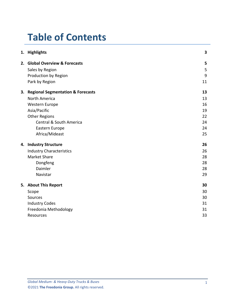# **Table of Contents**

|  | 1. Highlights                        | 3  |
|--|--------------------------------------|----|
|  | 2. Global Overview & Forecasts       | 5  |
|  | Sales by Region                      | 5  |
|  | Production by Region                 | 9  |
|  | Park by Region                       | 11 |
|  | 3. Regional Segmentation & Forecasts | 13 |
|  | North America                        | 13 |
|  | Western Europe                       | 16 |
|  | Asia/Pacific                         | 19 |
|  | <b>Other Regions</b>                 | 22 |
|  | <b>Central &amp; South America</b>   | 24 |
|  | Eastern Europe                       | 24 |
|  | Africa/Mideast                       | 25 |
|  | 4. Industry Structure                | 26 |
|  | <b>Industry Characteristics</b>      | 26 |
|  | <b>Market Share</b>                  | 28 |
|  | Dongfeng                             | 28 |
|  | Daimler                              | 28 |
|  | Navistar                             | 29 |
|  | 5. About This Report                 | 30 |
|  | Scope                                | 30 |
|  | <b>Sources</b>                       | 30 |
|  | <b>Industry Codes</b>                | 31 |
|  | Freedonia Methodology                | 31 |
|  | Resources                            | 33 |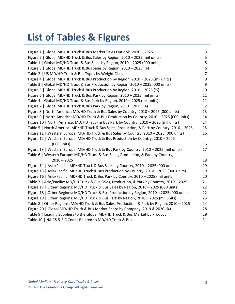# **List of Tables & Figures**

| Figure 1   Global MD/HD Truck & Bus Market Sales Outlook, 2020 - 2025                        | 3              |
|----------------------------------------------------------------------------------------------|----------------|
| Figure 2   Global MD/HD Truck & Bus Sales by Region, 2010 - 2025 (mil units)                 | 5              |
| Table 1   Global MD/HD Truck & Bus Sales by Region, 2010 - 2025 (000 units)                  | 5              |
| Figure 3   Global MD/HD Truck & Bus Sales by Region, 2010 - 2025 (%)                         | 6              |
| Table 2   US MD/HD Truck & Bus Types by Weight Class                                         | $\overline{7}$ |
| Figure 4   Global MD/HD Truck & Bus Production by Region, 2010 - 2025 (mil units)            | 9              |
| Table 3   Global MD/HD Truck & Bus Production by Region, 2010 - 2025 (000 units)             | 9              |
| Figure 5   Global MD/HD Truck & Bus Production by Region, 2010 - 2025 (%)                    | 10             |
| Figure 6   Global MD/HD Truck & Bus Park by Region, 2010 - 2025 (mil units)                  | 11             |
| Table 4   Global MD/HD Truck & Bus Park by Region, 2010 - 2025 (mil units)                   | 11             |
| Figure 7   Global MD/HD Truck & Bus Park by Region, 2010 - 2025 (%)                          | 12             |
| Figure 8   North America: MD/HD Truck & Bus Sales by Country, 2010 - 2025 (000 units)        | 13             |
| Figure 9   North America: MD/HD Truck & Bus Production by Country, 2010 - 2025 (000 units)   | 14             |
| Figure 10   North America: MD/HD Truck & Bus Park by Country, 2010 - 2025 (mil units)        | 14             |
| Table 5   North America: MD/HD Truck & Bus Sales, Production, & Park by Country, 2010 - 2025 | 15             |
| Figure 11   Western Europe: MD/HD Truck & Bus Sales by Country, 2010 - 2025 (000 units)      | 16             |
| Figure 12   Western Europe: MD/HD Truck & Bus Production by Country, 2010 - 2025             |                |
| (000 units)                                                                                  | 16             |
| Figure 13   Western Europe: MD/HD Truck & Bus Park by Country, 2010 - 2025 (mil units)       | 17             |
| Table 6   Western Europe: MD/HD Truck & Bus Sales, Production, & Park by Country,            |                |
| $2010 - 2025$                                                                                | 18             |
| Figure 14   Asia/Pacific: MD/HD Truck & Bus Sales by Country, 2010 - 2025 (000 units)        | 19             |
| Figure 15   Asia/Pacific: MD/HD Truck & Bus Production by Country, 2010 - 2025 (000 units)   | 19             |
| Figure 16   Asia/Pacific: MD/HD Truck & Bus Park by Country, 2010 - 2025 (mil units)         | 20             |
| Table 7   Asia/Pacific: MD/HD Truck & Bus Sales, Production, & Park by Country, 2010 - 2025  | 21             |
| Figure 17   Other Regions: MD/HD Truck & Bus Sales by Region, 2010 - 2025 (000 units)        | 22             |
| Figure 18   Other Regions: MD/HD Truck & Bus Production by Region, 2010 - 2025 (000 units)   | 22             |
| Figure 19   Other Regions: MD/HD Truck & Bus Park by Region, 2010 - 2025 (mil units)         | 23             |
| Table 8   Other Regions: MD/HD Truck & Bus Sales, Production, & Park by Region, 2010 - 2025  | 24             |
| Figure 20   Global MD/HD Truck & Bus Market Share by Company, 2019 & 2020 (%)                | 28             |
| Table 9   Leading Suppliers to the Global MD/HD Truck & Bus Market by Product                | 29             |
| Table 10   NAICS & SIC Codes Related to MD/HD Truck & Bus                                    | 31             |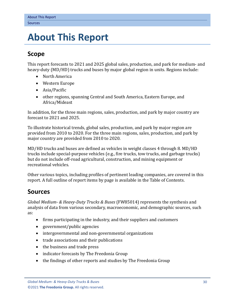# <span id="page-3-0"></span>**5. About This Report**

## <span id="page-3-1"></span>**Scope**

This report forecasts to 2021 and 2025 global sales, production, and park for medium- and heavy-duty (MD/HD) trucks and buses by major global region in units. Regions include:

- North America
- Western Europe
- Asia/Pacific
- other regions, spanning Central and South America, Eastern Europe, and Africa/Mideast

In addition, for the three main regions, sales, production, and park by major country are forecast to 2021 and 2025.

To illustrate historical trends, global sales, production, and park by major region are provided from 2010 to 2020. For the three main regions, sales, production, and park by major country are provided from 2010 to 2020.

MD/HD trucks and buses are defined as vehicles in weight classes 4 through 8. MD/HD trucks include special-purpose vehicles (e.g., fire trucks, tow trucks, and garbage trucks) but do not include off-road agricultural, construction, and mining equipment or recreational vehicles.

Other various topics, including profiles of pertinent leading companies, are covered in this report. A full outline of report items by page is available in the Table of Contents.

## <span id="page-3-2"></span>**Sources**

*Global Medium- & Heavy-Duty Trucks & Buses* (FW85014) represents the synthesis and analysis of data from various secondary, macroeconomic, and demographic sources, such as:

- firms participating in the industry, and their suppliers and customers
- government/public agencies
- intergovernmental and non-governmental organizations
- trade associations and their publications
- the business and trade press
- indicator forecasts by The Freedonia Group
- the findings of other reports and studies by The Freedonia Group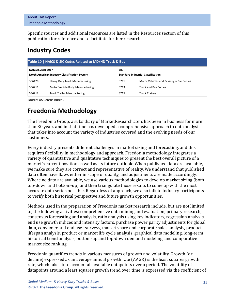| <b>About This Report</b>     |  |
|------------------------------|--|
| <b>Freedonia Methodology</b> |  |

Specific sources and additional resources are listed in the Resources section of this publication for reference and to facilitate further research.

# <span id="page-4-0"></span>**Industry Codes**

<span id="page-4-2"></span>

| Table 10   NAICS & SIC Codes Related to MD/HD Truck & Bus |                                       |                                           |                                         |  |  |  |  |  |
|-----------------------------------------------------------|---------------------------------------|-------------------------------------------|-----------------------------------------|--|--|--|--|--|
| NAICS/SCIAN 2017                                          |                                       | <b>SIC</b>                                |                                         |  |  |  |  |  |
| North American Industry Classification System             |                                       | <b>Standard Industrial Classification</b> |                                         |  |  |  |  |  |
| 336120                                                    | <b>Heavy Duty Truck Manufacturing</b> | 3711                                      | Motor Vehicles and Passenger Car Bodies |  |  |  |  |  |
| 336211                                                    | Motor Vehicle Body Manufacturing      | 3713                                      | <b>Truck and Bus Bodies</b>             |  |  |  |  |  |
| 336212                                                    | <b>Truck Trailer Manufacturing</b>    | 3715                                      | <b>Truck Trailers</b>                   |  |  |  |  |  |

Source: US Census Bureau

# <span id="page-4-1"></span>**Freedonia Methodology**

The Freedonia Group, a subsidiary of MarketResearch.com, has been in business for more than 30 years and in that time has developed a comprehensive approach to data analysis that takes into account the variety of industries covered and the evolving needs of our customers.

Every industry presents different challenges in market sizing and forecasting, and this requires flexibility in methodology and approach. Freedonia methodology integrates a variety of quantitative and qualitative techniques to present the best overall picture of a market's current position as well as its future outlook: When published data are available, we make sure they are correct and representative of reality. We understand that published data often have flaws either in scope or quality, and adjustments are made accordingly. Where no data are available, we use various methodologies to develop market sizing (both top-down and bottom-up) and then triangulate those results to come up with the most accurate data series possible. Regardless of approach, we also talk to industry participants to verify both historical perspective and future growth opportunities.

Methods used in the preparation of Freedonia market research include, but are not limited to, the following activities: comprehensive data mining and evaluation, primary research, consensus forecasting and analysis, ratio analysis using key indicators, regression analysis, end use growth indices and intensity factors, purchase power parity adjustments for global data, consumer and end user surveys, market share and corporate sales analysis, product lifespan analysis, product or market life cycle analysis, graphical data modeling, long-term historical trend analysis, bottom-up and top-down demand modeling, and comparative market size ranking.

Freedonia quantifies trends in various measures of growth and volatility. Growth (or decline) expressed as an average annual growth rate (AAGR) is the least squares growth rate, which takes into account all available datapoints over a period. The volatility of datapoints around a least squares growth trend over time is expressed via the coefficient of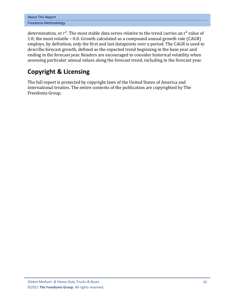| <b>About This Report</b> |  |  |  |  |
|--------------------------|--|--|--|--|
| Freedonia Methodology    |  |  |  |  |

determination, or  $r^2$ . The most stable data series relative to the trend carries an  $r^2$  value of 1.0; the most volatile – 0.0. Growth calculated as a compound annual growth rate (CAGR) employs, by definition, only the first and last datapoints over a period. The CAGR is used to describe forecast growth, defined as the expected trend beginning in the base year and ending in the forecast year. Readers are encouraged to consider historical volatility when assessing particular annual values along the forecast trend, including in the forecast year.

# **Copyright & Licensing**

The full report is protected by copyright laws of the United States of America and international treaties. The entire contents of the publication are copyrighted by The Freedonia Group.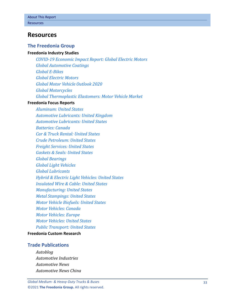## <span id="page-6-0"></span>**Resources**

#### **The Freedonia Group**

#### **[Freedonia Industry Studies](http://www.freedoniagroup.com/Home.aspx?ReferrerId=FL-Focus)**

*[COVID-19 Economic Impact Report: Global Electric Motors](http://www.freedoniagroup.com/DocumentDetails.aspx?ReferrerId=FL-FOCUS&studyid=IR60) [Global Automotive Coatings](http://www.freedoniagroup.com/DocumentDetails.aspx?ReferrerId=FL-FOCUS&studyid=4111) [Global E-Bikes](http://www.freedoniagroup.com/DocumentDetails.aspx?ReferrerId=FL-FOCUS&studyid=3867) [Global Electric](http://www.freedoniagroup.com/DocumentDetails.aspx?ReferrerId=FL-FOCUS&studyid=W1002) Motors [Global Motor Vehicle Outlook 2020](http://www.freedoniagroup.com/DocumentDetails.aspx?ReferrerId=FL-FOCUS&studyid=3838) [Global Motorcycles](http://www.freedoniagroup.com/DocumentDetails.aspx?ReferrerId=FL-FOCUS&studyid=3827) [Global Thermoplastic Elastomers: Motor Vehicle Market](http://www.freedoniagroup.com/DocumentDetails.aspx?ReferrerId=FL-FOCUS&studyid=3923)*

#### **[Freedonia Focus Reports](https://www.freedoniafocusreports.com/redirect.asp?progid=89534&url=/)**

*[Aluminum: United States](https://www.freedoniafocusreports.com/Aluminum-United-States-FF65010/?progid=89534) [Automotive Lubricants: United Kingdom](https://www.freedoniafocusreports.com/Automotive-Lubricants-United-Kingdom-FB35115/?progid=89534) [Automotive Lubricants: United States](https://www.freedoniafocusreports.com/Automotive-Lubricants-United-States-FF35115/?progid=89534) [Batteries: Canada](https://www.freedoniafocusreports.com/Batteries-Canada-FA45011/?progid=89534) [Car & Truck Rental: United States](https://www.freedoniafocusreports.com/Car-Truck-Rental-United-States-FF95086/?progid=89534) [Crude Petroleum: United States](https://www.freedoniafocusreports.com/Crude-Petroleum-United-States-FF45019/?progid=89534) [Freight Services: United States](https://www.freedoniafocusreports.com/Freight-Services-United-States-FF95064/?progid=89534) [Gaskets & Seals: United States](https://www.freedoniafocusreports.com/Gaskets-Seals-United-States-FF50012/?progid=89534) [Global Bearings](https://www.freedoniafocusreports.com/Global-Bearings-FW70019/?progid=89534) [Global Light Vehicles](https://www.freedoniafocusreports.com/Global-Light-Vehicles-FW85015/?progid=89534) [Global Lubricants](https://www.freedoniafocusreports.com/Global-Lubricants-FW35022/?progid=89534) [Hybrid & Electric Light Vehicles: United States](https://www.freedoniafocusreports.com/Hybrid-Electric-Light-Vehicles-United-States-FF85044/?progid=89534) [Insulated Wire & Cable: United States](https://www.freedoniafocusreports.com/Insulated-Wire-Cable-United-States-FF75031/?progid=89534) [Manufacturing: United States](https://www.freedoniafocusreports.com/Manufacturing-United-States-FF70032/?progid=89534) [Metal Stampings: United States](https://www.freedoniafocusreports.com/Metal-Stampings-United-States-FF70014/?progid=89534) [Motor Vehicle Biofuels: United States](https://www.freedoniafocusreports.com/Motor-Vehicle-Biofuels-United-States-FF45035/?progid=89534) [Motor Vehicles: Canada](https://www.freedoniafocusreports.com/Motor-Vehicles-Canada-FA85029/?progid=89534) [Motor Vehicles: Europe](https://www.freedoniafocusreports.com/Motor-Vehicles-Europe-FE85029/?progid=89534) [Motor Vehicles: United States](https://www.freedoniafocusreports.com/Motor-Vehicles-United-States-FF85029/?progid=89534) [Public Transport: United States](https://www.freedoniafocusreports.com/Public-Transport-United-States-FF95059/?progid=89534)*

#### **[Freedonia Custom Research](http://www.freedoniagroup.com/CustomResearch.aspx?ReferrerId=FL-Focus)**

#### **Trade Publications**

*Autoblog Automotive Industries Automotive News Automotive News China*